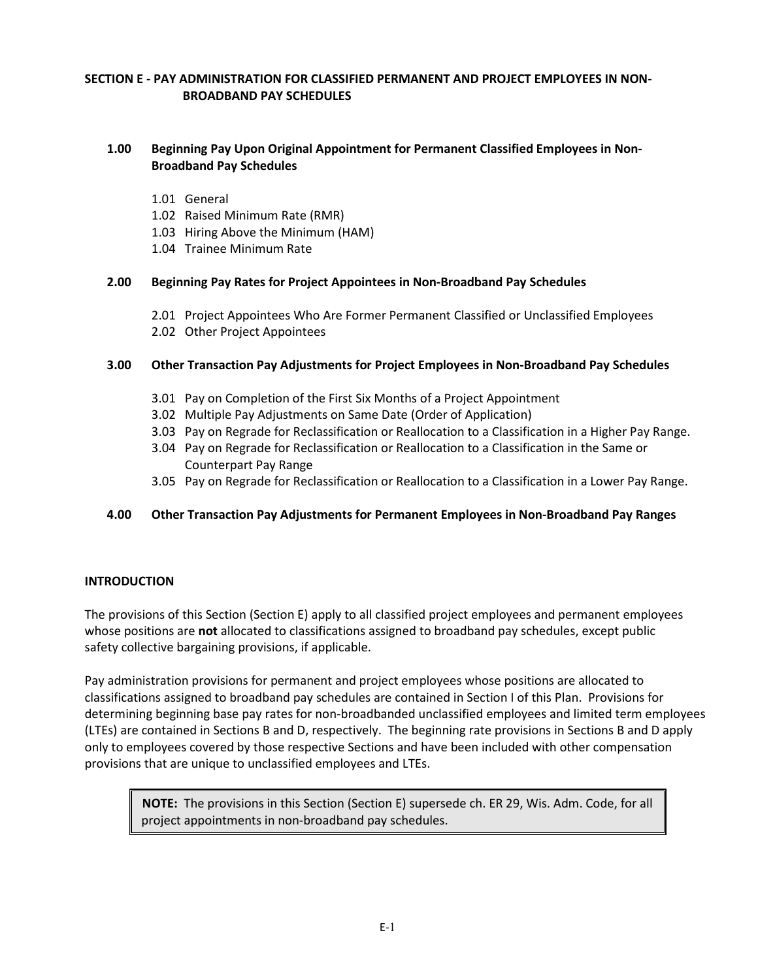# **SECTION E - PAY ADMINISTRATION FOR CLASSIFIED PERMANENT AND PROJECT EMPLOYEES IN NON-BROADBAND PAY SCHEDULES**

# **1.00 Beginning Pay Upon Original Appointment for Permanent Classified Employees in Non-Broadband Pay Schedules**

- 1.01 General
- 1.02 Raised Minimum Rate (RMR)
- 1.03 Hiring Above the Minimum (HAM)
- 1.04 Trainee Minimum Rate

## **2.00 Beginning Pay Rates for Project Appointees in Non-Broadband Pay Schedules**

- 2.01 Project Appointees Who Are Former Permanent Classified or Unclassified Employees
- 2.02 Other Project Appointees

## **3.00 Other Transaction Pay Adjustments for Project Employees in Non-Broadband Pay Schedules**

- 3.01 Pay on Completion of the First Six Months of a Project Appointment
- 3.02 Multiple Pay Adjustments on Same Date (Order of Application)
- 3.03 Pay on Regrade for Reclassification or Reallocation to a Classification in a Higher Pay Range.
- 3.04 Pay on Regrade for Reclassification or Reallocation to a Classification in the Same or Counterpart Pay Range
- 3.05 Pay on Regrade for Reclassification or Reallocation to a Classification in a Lower Pay Range.

# **4.00 Other Transaction Pay Adjustments for Permanent Employees in Non-Broadband Pay Ranges**

## **INTRODUCTION**

The provisions of this Section (Section E) apply to all classified project employees and permanent employees whose positions are **not** allocated to classifications assigned to broadband pay schedules, except public safety collective bargaining provisions, if applicable.

Pay administration provisions for permanent and project employees whose positions are allocated to classifications assigned to broadband pay schedules are contained in Section I of this Plan. Provisions for determining beginning base pay rates for non-broadbanded unclassified employees and limited term employees (LTEs) are contained in Sections B and D, respectively. The beginning rate provisions in Sections B and D apply only to employees covered by those respective Sections and have been included with other compensation provisions that are unique to unclassified employees and LTEs.

**NOTE:** The provisions in this Section (Section E) supersede ch. ER 29, Wis. Adm. Code, for all project appointments in non-broadband pay schedules.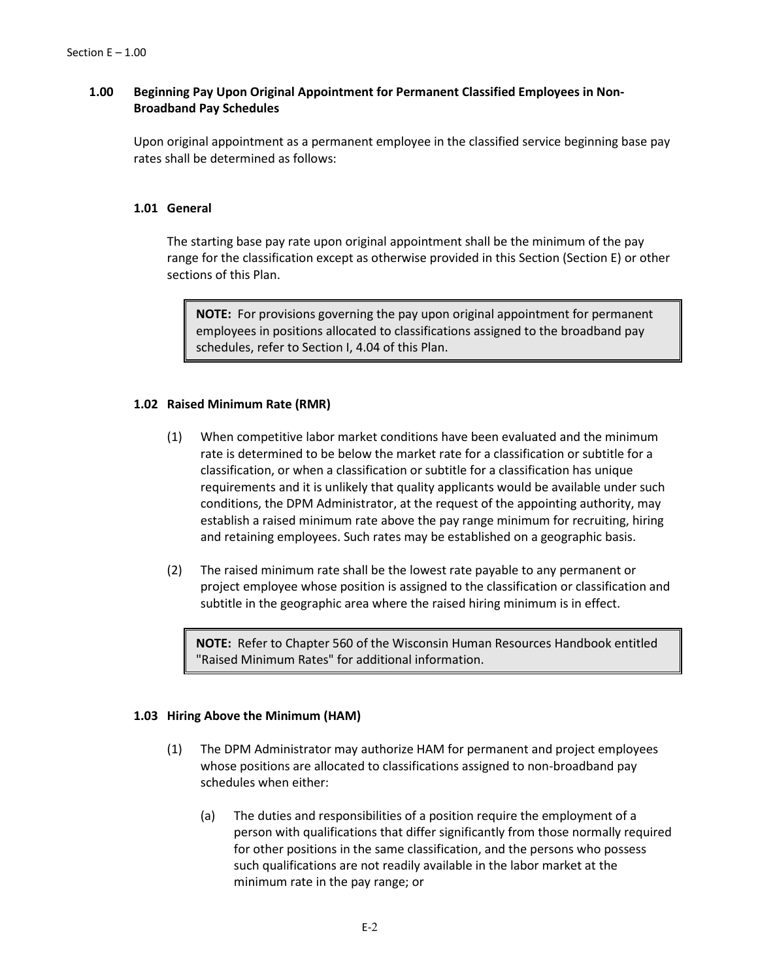# **1.00 Beginning Pay Upon Original Appointment for Permanent Classified Employees in Non-Broadband Pay Schedules**

Upon original appointment as a permanent employee in the classified service beginning base pay rates shall be determined as follows:

## **1.01 General**

The starting base pay rate upon original appointment shall be the minimum of the pay range for the classification except as otherwise provided in this Section (Section E) or other sections of this Plan.

**NOTE:** For provisions governing the pay upon original appointment for permanent employees in positions allocated to classifications assigned to the broadband pay schedules, refer to Section I, 4.04 of this Plan.

## **1.02 Raised Minimum Rate (RMR)**

- (1) When competitive labor market conditions have been evaluated and the minimum rate is determined to be below the market rate for a classification or subtitle for a classification, or when a classification or subtitle for a classification has unique requirements and it is unlikely that quality applicants would be available under such conditions, the DPM Administrator, at the request of the appointing authority, may establish a raised minimum rate above the pay range minimum for recruiting, hiring and retaining employees. Such rates may be established on a geographic basis.
- (2) The raised minimum rate shall be the lowest rate payable to any permanent or project employee whose position is assigned to the classification or classification and subtitle in the geographic area where the raised hiring minimum is in effect.

**NOTE:** Refer to Chapter 560 of the Wisconsin Human Resources Handbook entitled "Raised Minimum Rates" for additional information.

## **1.03 Hiring Above the Minimum (HAM)**

- (1) The DPM Administrator may authorize HAM for permanent and project employees whose positions are allocated to classifications assigned to non-broadband pay schedules when either:
	- (a) The duties and responsibilities of a position require the employment of a person with qualifications that differ significantly from those normally required for other positions in the same classification, and the persons who possess such qualifications are not readily available in the labor market at the minimum rate in the pay range; or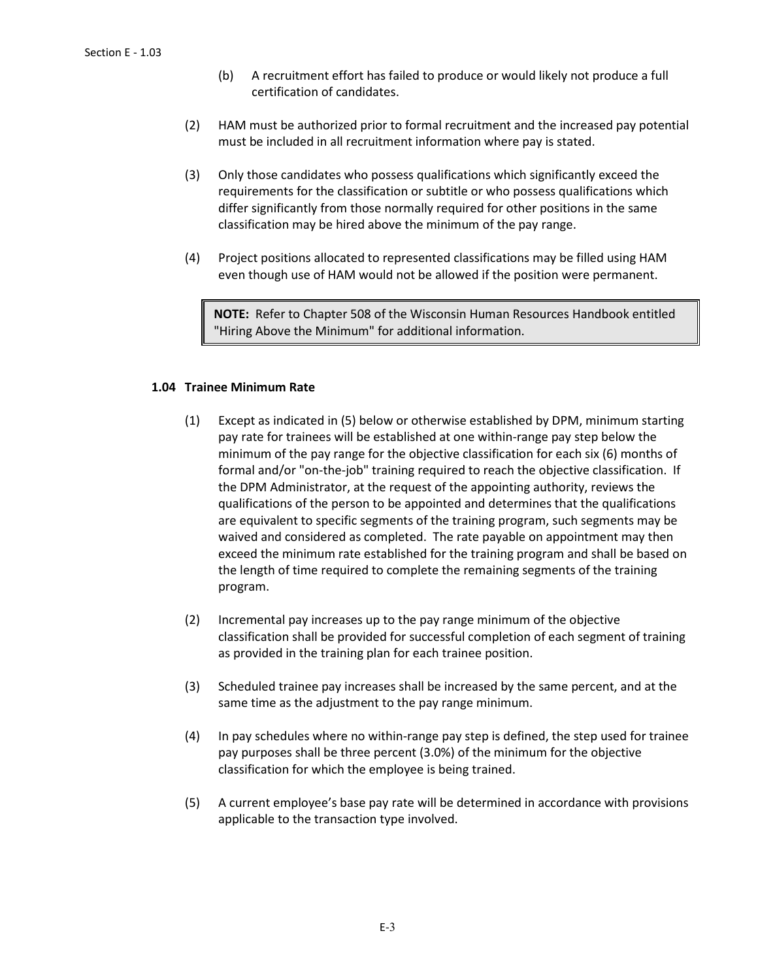- (b) A recruitment effort has failed to produce or would likely not produce a full certification of candidates.
- (2) HAM must be authorized prior to formal recruitment and the increased pay potential must be included in all recruitment information where pay is stated.
- (3) Only those candidates who possess qualifications which significantly exceed the requirements for the classification or subtitle or who possess qualifications which differ significantly from those normally required for other positions in the same classification may be hired above the minimum of the pay range.
- (4) Project positions allocated to represented classifications may be filled using HAM even though use of HAM would not be allowed if the position were permanent.

**NOTE:** Refer to Chapter 508 of the Wisconsin Human Resources Handbook entitled "Hiring Above the Minimum" for additional information.

# **1.04 Trainee Minimum Rate**

- (1) Except as indicated in (5) below or otherwise established by DPM, minimum starting pay rate for trainees will be established at one within-range pay step below the minimum of the pay range for the objective classification for each six (6) months of formal and/or "on-the-job" training required to reach the objective classification. If the DPM Administrator, at the request of the appointing authority, reviews the qualifications of the person to be appointed and determines that the qualifications are equivalent to specific segments of the training program, such segments may be waived and considered as completed. The rate payable on appointment may then exceed the minimum rate established for the training program and shall be based on the length of time required to complete the remaining segments of the training program.
- (2) Incremental pay increases up to the pay range minimum of the objective classification shall be provided for successful completion of each segment of training as provided in the training plan for each trainee position.
- (3) Scheduled trainee pay increases shall be increased by the same percent, and at the same time as the adjustment to the pay range minimum.
- (4) In pay schedules where no within-range pay step is defined, the step used for trainee pay purposes shall be three percent (3.0%) of the minimum for the objective classification for which the employee is being trained.
- (5) A current employee's base pay rate will be determined in accordance with provisions applicable to the transaction type involved.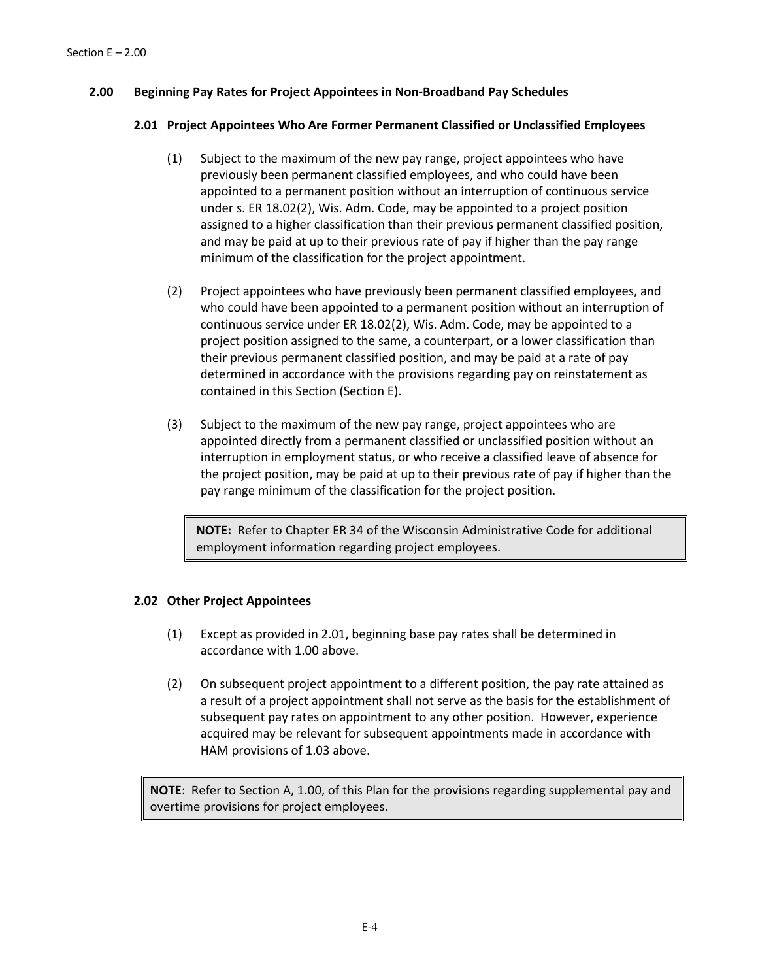# **2.00 Beginning Pay Rates for Project Appointees in Non-Broadband Pay Schedules**

## **2.01 Project Appointees Who Are Former Permanent Classified or Unclassified Employees**

- (1) Subject to the maximum of the new pay range, project appointees who have previously been permanent classified employees, and who could have been appointed to a permanent position without an interruption of continuous service under s. ER 18.02(2), Wis. Adm. Code, may be appointed to a project position assigned to a higher classification than their previous permanent classified position, and may be paid at up to their previous rate of pay if higher than the pay range minimum of the classification for the project appointment.
- (2) Project appointees who have previously been permanent classified employees, and who could have been appointed to a permanent position without an interruption of continuous service under ER 18.02(2), Wis. Adm. Code, may be appointed to a project position assigned to the same, a counterpart, or a lower classification than their previous permanent classified position, and may be paid at a rate of pay determined in accordance with the provisions regarding pay on reinstatement as contained in this Section (Section E).
- (3) Subject to the maximum of the new pay range, project appointees who are appointed directly from a permanent classified or unclassified position without an interruption in employment status, or who receive a classified leave of absence for the project position, may be paid at up to their previous rate of pay if higher than the pay range minimum of the classification for the project position.

**NOTE:** Refer to Chapter ER 34 of the Wisconsin Administrative Code for additional employment information regarding project employees.

## **2.02 Other Project Appointees**

- (1) Except as provided in 2.01, beginning base pay rates shall be determined in accordance with 1.00 above.
- (2) On subsequent project appointment to a different position, the pay rate attained as a result of a project appointment shall not serve as the basis for the establishment of subsequent pay rates on appointment to any other position. However, experience acquired may be relevant for subsequent appointments made in accordance with HAM provisions of 1.03 above.

**NOTE**: Refer to Section A, 1.00, of this Plan for the provisions regarding supplemental pay and overtime provisions for project employees.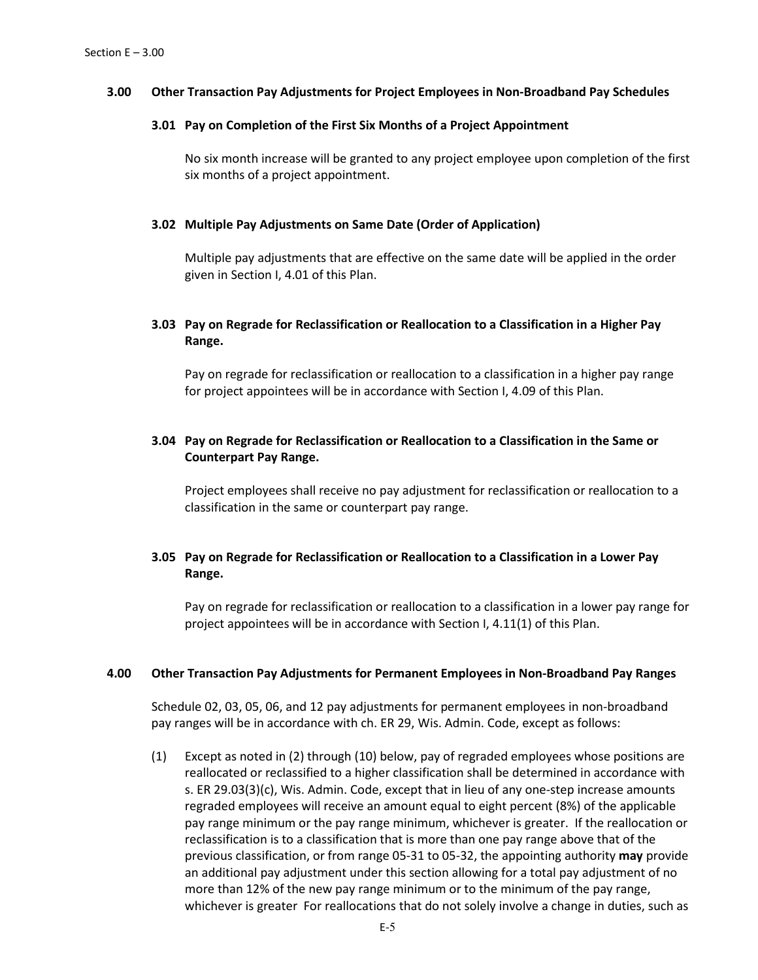## **3.00 Other Transaction Pay Adjustments for Project Employees in Non-Broadband Pay Schedules**

#### **3.01 Pay on Completion of the First Six Months of a Project Appointment**

No six month increase will be granted to any project employee upon completion of the first six months of a project appointment.

#### **3.02 Multiple Pay Adjustments on Same Date (Order of Application)**

Multiple pay adjustments that are effective on the same date will be applied in the order given in Section I, 4.01 of this Plan.

# **3.03 Pay on Regrade for Reclassification or Reallocation to a Classification in a Higher Pay Range.**

Pay on regrade for reclassification or reallocation to a classification in a higher pay range for project appointees will be in accordance with Section I, 4.09 of this Plan.

# **3.04 Pay on Regrade for Reclassification or Reallocation to a Classification in the Same or Counterpart Pay Range.**

Project employees shall receive no pay adjustment for reclassification or reallocation to a classification in the same or counterpart pay range.

# **3.05 Pay on Regrade for Reclassification or Reallocation to a Classification in a Lower Pay Range.**

Pay on regrade for reclassification or reallocation to a classification in a lower pay range for project appointees will be in accordance with Section I, 4.11(1) of this Plan.

#### **4.00 Other Transaction Pay Adjustments for Permanent Employees in Non-Broadband Pay Ranges**

Schedule 02, 03, 05, 06, and 12 pay adjustments for permanent employees in non-broadband pay ranges will be in accordance with ch. ER 29, Wis. Admin. Code, except as follows:

(1) Except as noted in (2) through (10) below, pay of regraded employees whose positions are reallocated or reclassified to a higher classification shall be determined in accordance with s. ER 29.03(3)(c), Wis. Admin. Code, except that in lieu of any one-step increase amounts regraded employees will receive an amount equal to eight percent (8%) of the applicable pay range minimum or the pay range minimum, whichever is greater. If the reallocation or reclassification is to a classification that is more than one pay range above that of the previous classification, or from range 05-31 to 05-32, the appointing authority **may** provide an additional pay adjustment under this section allowing for a total pay adjustment of no more than 12% of the new pay range minimum or to the minimum of the pay range, whichever is greater For reallocations that do not solely involve a change in duties, such as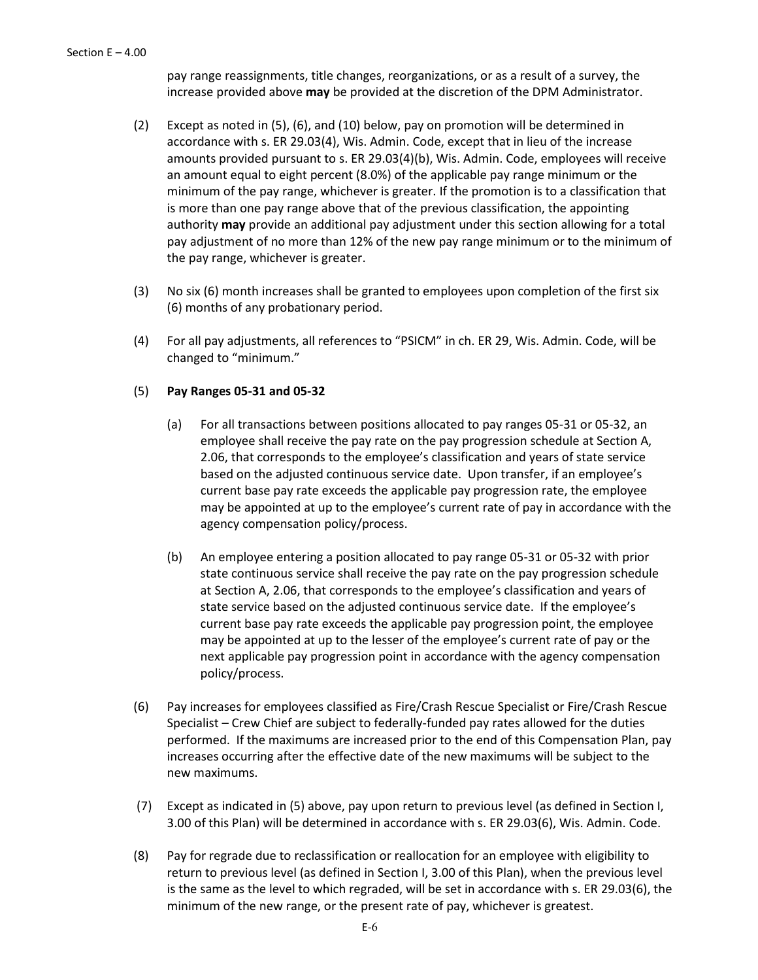pay range reassignments, title changes, reorganizations, or as a result of a survey, the increase provided above **may** be provided at the discretion of the DPM Administrator.

- (2) Except as noted in (5), (6), and (10) below, pay on promotion will be determined in accordance with s. ER 29.03(4), Wis. Admin. Code, except that in lieu of the increase amounts provided pursuant to s. ER 29.03(4)(b), Wis. Admin. Code, employees will receive an amount equal to eight percent (8.0%) of the applicable pay range minimum or the minimum of the pay range, whichever is greater. If the promotion is to a classification that is more than one pay range above that of the previous classification, the appointing authority **may** provide an additional pay adjustment under this section allowing for a total pay adjustment of no more than 12% of the new pay range minimum or to the minimum of the pay range, whichever is greater.
- (3) No six (6) month increases shall be granted to employees upon completion of the first six (6) months of any probationary period.
- (4) For all pay adjustments, all references to "PSICM" in ch. ER 29, Wis. Admin. Code, will be changed to "minimum."

## (5) **Pay Ranges 05-31 and 05-32**

- (a) For all transactions between positions allocated to pay ranges 05-31 or 05-32, an employee shall receive the pay rate on the pay progression schedule at Section A, 2.06, that corresponds to the employee's classification and years of state service based on the adjusted continuous service date. Upon transfer, if an employee's current base pay rate exceeds the applicable pay progression rate, the employee may be appointed at up to the employee's current rate of pay in accordance with the agency compensation policy/process.
- (b) An employee entering a position allocated to pay range 05-31 or 05-32 with prior state continuous service shall receive the pay rate on the pay progression schedule at Section A, 2.06, that corresponds to the employee's classification and years of state service based on the adjusted continuous service date. If the employee's current base pay rate exceeds the applicable pay progression point, the employee may be appointed at up to the lesser of the employee's current rate of pay or the next applicable pay progression point in accordance with the agency compensation policy/process.
- (6) Pay increases for employees classified as Fire/Crash Rescue Specialist or Fire/Crash Rescue Specialist – Crew Chief are subject to federally-funded pay rates allowed for the duties performed. If the maximums are increased prior to the end of this Compensation Plan, pay increases occurring after the effective date of the new maximums will be subject to the new maximums.
- (7) Except as indicated in (5) above, pay upon return to previous level (as defined in Section I, 3.00 of this Plan) will be determined in accordance with s. ER 29.03(6), Wis. Admin. Code.
- (8) Pay for regrade due to reclassification or reallocation for an employee with eligibility to return to previous level (as defined in Section I, 3.00 of this Plan), when the previous level is the same as the level to which regraded, will be set in accordance with s. ER 29.03(6), the minimum of the new range, or the present rate of pay, whichever is greatest.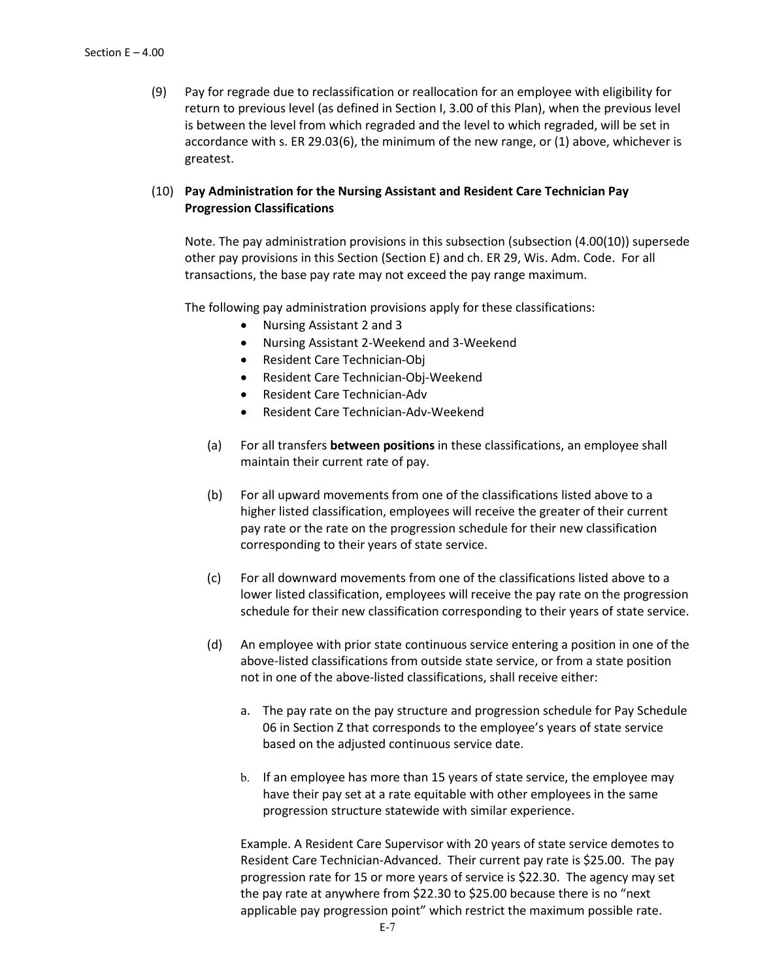(9) Pay for regrade due to reclassification or reallocation for an employee with eligibility for return to previous level (as defined in Section I, 3.00 of this Plan), when the previous level is between the level from which regraded and the level to which regraded, will be set in accordance with s. ER 29.03(6), the minimum of the new range, or (1) above, whichever is greatest.

## (10) **Pay Administration for the Nursing Assistant and Resident Care Technician Pay Progression Classifications**

Note. The pay administration provisions in this subsection (subsection (4.00(10)) supersede other pay provisions in this Section (Section E) and ch. ER 29, Wis. Adm. Code. For all transactions, the base pay rate may not exceed the pay range maximum.

The following pay administration provisions apply for these classifications:

- Nursing Assistant 2 and 3
- Nursing Assistant 2-Weekend and 3-Weekend
- Resident Care Technician-Obj
- Resident Care Technician-Obj-Weekend
- Resident Care Technician-Adv
- Resident Care Technician-Adv-Weekend
- (a) For all transfers **between positions** in these classifications, an employee shall maintain their current rate of pay.
- (b) For all upward movements from one of the classifications listed above to a higher listed classification, employees will receive the greater of their current pay rate or the rate on the progression schedule for their new classification corresponding to their years of state service.
- (c) For all downward movements from one of the classifications listed above to a lower listed classification, employees will receive the pay rate on the progression schedule for their new classification corresponding to their years of state service.
- (d) An employee with prior state continuous service entering a position in one of the above-listed classifications from outside state service, or from a state position not in one of the above-listed classifications, shall receive either:
	- a. The pay rate on the pay structure and progression schedule for Pay Schedule 06 in Section Z that corresponds to the employee's years of state service based on the adjusted continuous service date.
	- b. If an employee has more than 15 years of state service, the employee may have their pay set at a rate equitable with other employees in the same progression structure statewide with similar experience.

Example. A Resident Care Supervisor with 20 years of state service demotes to Resident Care Technician-Advanced. Their current pay rate is \$25.00. The pay progression rate for 15 or more years of service is \$22.30. The agency may set the pay rate at anywhere from \$22.30 to \$25.00 because there is no "next applicable pay progression point" which restrict the maximum possible rate.